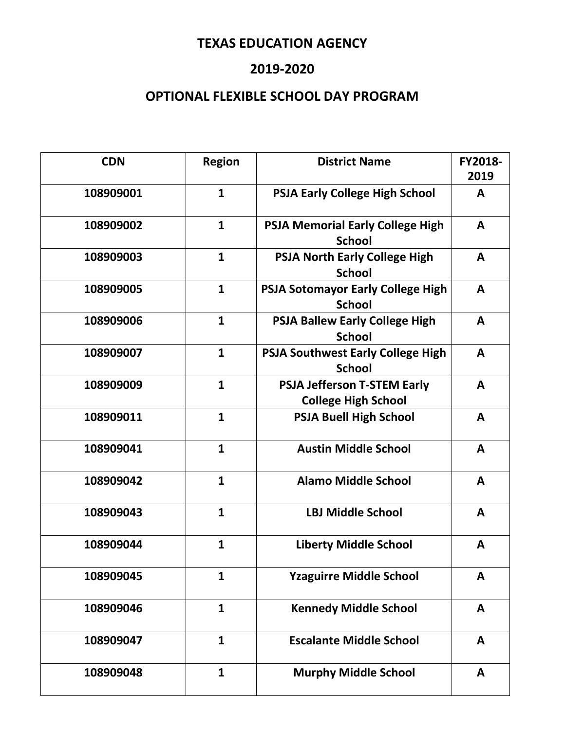### **2019-2020**

| <b>CDN</b> | <b>Region</b> | <b>District Name</b>                                             | FY2018-<br>2019 |
|------------|---------------|------------------------------------------------------------------|-----------------|
| 108909001  | $\mathbf{1}$  | <b>PSJA Early College High School</b>                            | A               |
| 108909002  | $\mathbf{1}$  | <b>PSJA Memorial Early College High</b><br><b>School</b>         | A               |
| 108909003  | $\mathbf{1}$  | <b>PSJA North Early College High</b><br><b>School</b>            | A               |
| 108909005  | $\mathbf{1}$  | <b>PSJA Sotomayor Early College High</b><br><b>School</b>        | A               |
| 108909006  | $\mathbf{1}$  | <b>PSJA Ballew Early College High</b><br><b>School</b>           | A               |
| 108909007  | $\mathbf{1}$  | <b>PSJA Southwest Early College High</b><br><b>School</b>        | A               |
| 108909009  | $\mathbf{1}$  | <b>PSJA Jefferson T-STEM Early</b><br><b>College High School</b> | A               |
| 108909011  | $\mathbf{1}$  | <b>PSJA Buell High School</b>                                    | A               |
| 108909041  | $\mathbf{1}$  | <b>Austin Middle School</b>                                      | A               |
| 108909042  | $\mathbf{1}$  | <b>Alamo Middle School</b>                                       | A               |
| 108909043  | $\mathbf{1}$  | <b>LBJ Middle School</b>                                         | A               |
| 108909044  | $\mathbf{1}$  | <b>Liberty Middle School</b>                                     | A               |
| 108909045  | $\mathbf{1}$  | <b>Yzaguirre Middle School</b>                                   | A               |
| 108909046  | $\mathbf{1}$  | <b>Kennedy Middle School</b>                                     | A               |
| 108909047  | $\mathbf{1}$  | <b>Escalante Middle School</b>                                   | A               |
| 108909048  | $\mathbf{1}$  | <b>Murphy Middle School</b>                                      | A               |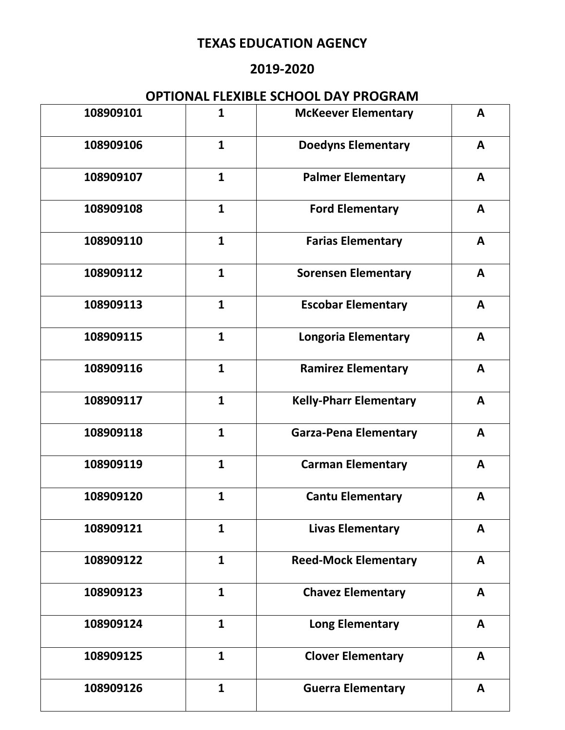### **2019-2020**

| 108909101 | $\mathbf{1}$ | <b>McKeever Elementary</b>    | A            |
|-----------|--------------|-------------------------------|--------------|
| 108909106 | $\mathbf{1}$ | <b>Doedyns Elementary</b>     | A            |
| 108909107 | $\mathbf{1}$ | <b>Palmer Elementary</b>      | A            |
| 108909108 | $\mathbf{1}$ | <b>Ford Elementary</b>        | A            |
| 108909110 | $\mathbf{1}$ | <b>Farias Elementary</b>      | $\mathsf{A}$ |
| 108909112 | $\mathbf{1}$ | <b>Sorensen Elementary</b>    | $\mathbf{A}$ |
| 108909113 | $\mathbf{1}$ | <b>Escobar Elementary</b>     | A            |
| 108909115 | $\mathbf{1}$ | <b>Longoria Elementary</b>    | A            |
| 108909116 | $\mathbf{1}$ | <b>Ramirez Elementary</b>     | A            |
| 108909117 | $\mathbf{1}$ | <b>Kelly-Pharr Elementary</b> | A            |
| 108909118 | $\mathbf{1}$ | <b>Garza-Pena Elementary</b>  | A            |
| 108909119 | $\mathbf{1}$ | <b>Carman Elementary</b>      | A            |
| 108909120 | $\mathbf{1}$ | <b>Cantu Elementary</b>       | A            |
| 108909121 | $\mathbf{1}$ | <b>Livas Elementary</b>       | A            |
| 108909122 | $\mathbf{1}$ | <b>Reed-Mock Elementary</b>   | $\mathbf{A}$ |
| 108909123 | $\mathbf{1}$ | <b>Chavez Elementary</b>      | A            |
| 108909124 | $\mathbf{1}$ | <b>Long Elementary</b>        | A            |
| 108909125 | $\mathbf{1}$ | <b>Clover Elementary</b>      | $\mathsf{A}$ |
| 108909126 | $\mathbf{1}$ | <b>Guerra Elementary</b>      | A            |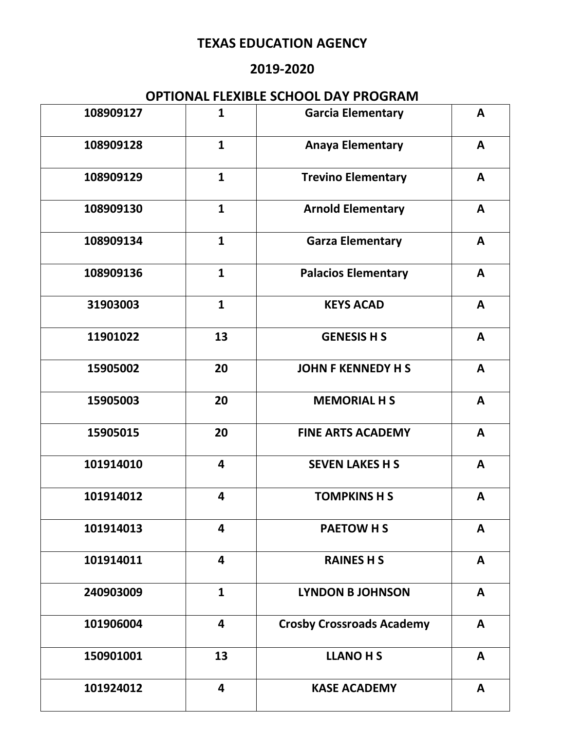### **2019-2020**

| 108909127 | $\mathbf{1}$            | <b>Garcia Elementary</b>         | $\mathbf{A}$ |
|-----------|-------------------------|----------------------------------|--------------|
| 108909128 | $\mathbf{1}$            | <b>Anaya Elementary</b>          | A            |
| 108909129 | $\mathbf{1}$            | <b>Trevino Elementary</b>        | A            |
| 108909130 | $\mathbf{1}$            | <b>Arnold Elementary</b>         | A            |
| 108909134 | $\mathbf{1}$            | <b>Garza Elementary</b>          | A            |
| 108909136 | $\mathbf{1}$            | <b>Palacios Elementary</b>       | $\mathsf{A}$ |
| 31903003  | $\mathbf{1}$            | <b>KEYS ACAD</b>                 | A            |
| 11901022  | 13                      | <b>GENESIS H S</b>               | $\mathsf{A}$ |
| 15905002  | 20                      | <b>JOHN F KENNEDY H S</b>        | $\mathsf{A}$ |
| 15905003  | 20                      | <b>MEMORIAL H S</b>              | $\mathbf{A}$ |
| 15905015  | 20                      | <b>FINE ARTS ACADEMY</b>         | A            |
| 101914010 | $\overline{\mathbf{4}}$ | <b>SEVEN LAKES H S</b>           | A            |
| 101914012 | 4                       | <b>TOMPKINS H S</b>              | A            |
| 101914013 | $\overline{\mathbf{4}}$ | <b>PAETOW H S</b>                | A            |
| 101914011 | $\overline{\mathbf{4}}$ | <b>RAINES H S</b>                | A            |
| 240903009 | $\mathbf{1}$            | <b>LYNDON B JOHNSON</b>          | A            |
| 101906004 | $\overline{\mathbf{4}}$ | <b>Crosby Crossroads Academy</b> | $\mathsf{A}$ |
| 150901001 | 13                      | <b>LLANO H S</b>                 | $\mathsf{A}$ |
| 101924012 | $\overline{\mathbf{4}}$ | <b>KASE ACADEMY</b>              | $\mathbf{A}$ |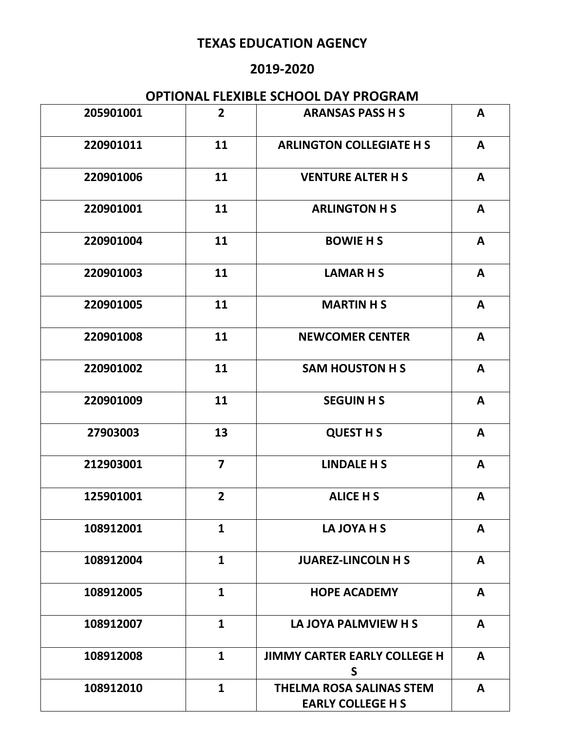### **2019-2020**

| 205901001 | $\overline{2}$          | <b>ARANSAS PASS H S</b>                                     | A            |
|-----------|-------------------------|-------------------------------------------------------------|--------------|
| 220901011 | 11                      | <b>ARLINGTON COLLEGIATE H S</b>                             | A            |
| 220901006 | 11                      | <b>VENTURE ALTER H S</b>                                    | A            |
| 220901001 | 11                      | <b>ARLINGTON H S</b>                                        | A            |
| 220901004 | 11                      | <b>BOWIE H S</b>                                            | A            |
| 220901003 | 11                      | <b>LAMARHS</b>                                              | $\mathbf{A}$ |
| 220901005 | 11                      | <b>MARTIN H S</b>                                           | $\mathbf{A}$ |
| 220901008 | 11                      | <b>NEWCOMER CENTER</b>                                      | $\mathbf{A}$ |
| 220901002 | 11                      | <b>SAM HOUSTON H S</b>                                      | $\mathbf{A}$ |
| 220901009 | 11                      | <b>SEGUIN H S</b>                                           | A            |
| 27903003  | 13                      | <b>QUEST H S</b>                                            | A            |
| 212903001 | $\overline{\mathbf{z}}$ | <b>LINDALE H S</b>                                          | A            |
| 125901001 | $\overline{2}$          | <b>ALICE HS</b>                                             | A            |
| 108912001 | $\mathbf{1}$            | LA JOYA H S                                                 | A            |
| 108912004 | $\mathbf{1}$            | <b>JUAREZ-LINCOLN H S</b>                                   | A            |
| 108912005 | $\mathbf{1}$            | <b>HOPE ACADEMY</b>                                         | A            |
| 108912007 | $\mathbf{1}$            | LA JOYA PALMVIEW H S                                        | A            |
| 108912008 | $\mathbf{1}$            | <b>JIMMY CARTER EARLY COLLEGE H</b><br>S                    | $\mathbf{A}$ |
| 108912010 | $\mathbf{1}$            | <b>THELMA ROSA SALINAS STEM</b><br><b>EARLY COLLEGE H S</b> | $\mathbf{A}$ |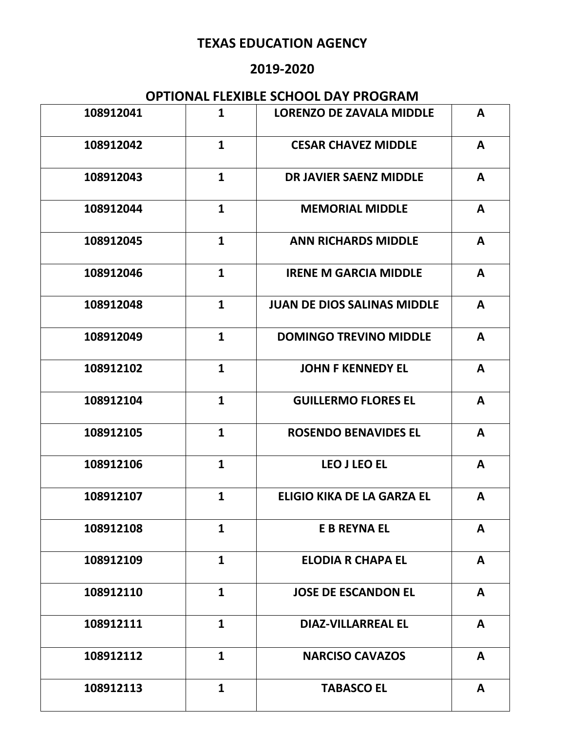### **2019-2020**

| 108912041 | $\mathbf{1}$ | <b>LORENZO DE ZAVALA MIDDLE</b>    | A            |
|-----------|--------------|------------------------------------|--------------|
| 108912042 | $\mathbf{1}$ | <b>CESAR CHAVEZ MIDDLE</b>         | A            |
| 108912043 | $\mathbf{1}$ | <b>DR JAVIER SAENZ MIDDLE</b>      | A            |
| 108912044 | $\mathbf{1}$ | <b>MEMORIAL MIDDLE</b>             | A            |
| 108912045 | $\mathbf{1}$ | <b>ANN RICHARDS MIDDLE</b>         | A            |
| 108912046 | $\mathbf{1}$ | <b>IRENE M GARCIA MIDDLE</b>       | A            |
| 108912048 | $\mathbf{1}$ | <b>JUAN DE DIOS SALINAS MIDDLE</b> | A            |
| 108912049 | $\mathbf{1}$ | <b>DOMINGO TREVINO MIDDLE</b>      | A            |
| 108912102 | $\mathbf{1}$ | <b>JOHN F KENNEDY EL</b>           | A            |
| 108912104 | $\mathbf{1}$ | <b>GUILLERMO FLORES EL</b>         | A            |
| 108912105 | $\mathbf{1}$ | <b>ROSENDO BENAVIDES EL</b>        | A            |
| 108912106 | $\mathbf{1}$ | <b>LEO J LEO EL</b>                | A            |
| 108912107 | $\mathbf{1}$ | <b>ELIGIO KIKA DE LA GARZA EL</b>  | A            |
| 108912108 | $\mathbf{1}$ | <b>E B REYNA EL</b>                | A            |
| 108912109 | $\mathbf{1}$ | <b>ELODIA R CHAPA EL</b>           | $\mathbf{A}$ |
| 108912110 | $\mathbf{1}$ | <b>JOSE DE ESCANDON EL</b>         | A            |
| 108912111 | $\mathbf{1}$ | <b>DIAZ-VILLARREAL EL</b>          | A            |
| 108912112 | $\mathbf{1}$ | <b>NARCISO CAVAZOS</b>             | A            |
| 108912113 | $\mathbf{1}$ | <b>TABASCO EL</b>                  | A            |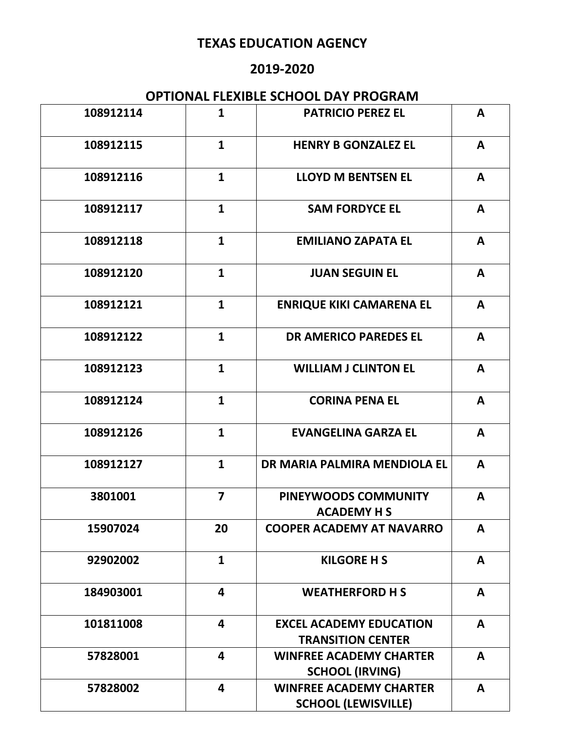### **2019-2020**

| 108912114 | $\mathbf{1}$            | <b>PATRICIO PEREZ EL</b>                                     | A            |
|-----------|-------------------------|--------------------------------------------------------------|--------------|
| 108912115 | $\mathbf{1}$            | <b>HENRY B GONZALEZ EL</b>                                   | A            |
| 108912116 | $\mathbf{1}$            | <b>LLOYD M BENTSEN EL</b>                                    | A            |
| 108912117 | $\mathbf{1}$            | <b>SAM FORDYCE EL</b>                                        | A            |
| 108912118 | $\mathbf{1}$            | <b>EMILIANO ZAPATA EL</b>                                    | A            |
| 108912120 | $\mathbf{1}$            | <b>JUAN SEGUIN EL</b>                                        | A            |
| 108912121 | $\mathbf{1}$            | <b>ENRIQUE KIKI CAMARENA EL</b>                              | A            |
| 108912122 | $\mathbf{1}$            | <b>DR AMERICO PAREDES EL</b>                                 | A            |
| 108912123 | $\mathbf{1}$            | <b>WILLIAM J CLINTON EL</b>                                  | A            |
| 108912124 | $\mathbf{1}$            | <b>CORINA PENA EL</b>                                        | A            |
| 108912126 | $\mathbf{1}$            | <b>EVANGELINA GARZA EL</b>                                   | A            |
| 108912127 | $\mathbf{1}$            | DR MARIA PALMIRA MENDIOLA EL                                 | A            |
| 3801001   | $\overline{\mathbf{z}}$ | PINEYWOODS COMMUNITY<br><b>ACADEMY H S</b>                   | A            |
| 15907024  | 20                      | <b>COOPER ACADEMY AT NAVARRO</b>                             | A            |
| 92902002  | $\mathbf{1}$            | <b>KILGORE H S</b>                                           | A            |
| 184903001 | 4                       | <b>WEATHERFORD H S</b>                                       | A            |
| 101811008 | 4                       | <b>EXCEL ACADEMY EDUCATION</b><br><b>TRANSITION CENTER</b>   | A            |
| 57828001  | 4                       | <b>WINFREE ACADEMY CHARTER</b><br><b>SCHOOL (IRVING)</b>     | A            |
| 57828002  | $\overline{\mathbf{4}}$ | <b>WINFREE ACADEMY CHARTER</b><br><b>SCHOOL (LEWISVILLE)</b> | $\mathbf{A}$ |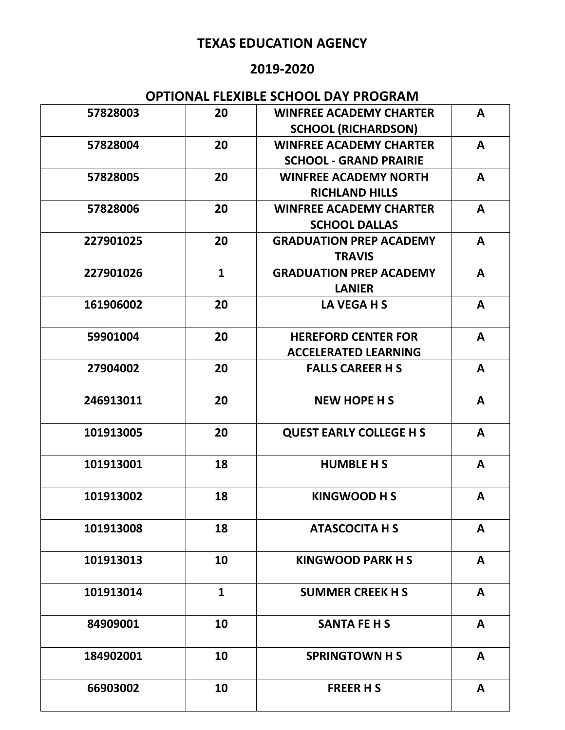### **2019-2020**

| 57828003  | 20           | <b>WINFREE ACADEMY CHARTER</b> | A            |
|-----------|--------------|--------------------------------|--------------|
|           |              | <b>SCHOOL (RICHARDSON)</b>     |              |
| 57828004  | 20           | <b>WINFREE ACADEMY CHARTER</b> | A            |
|           |              | <b>SCHOOL - GRAND PRAIRIE</b>  |              |
| 57828005  | 20           | <b>WINFREE ACADEMY NORTH</b>   | A            |
|           |              | <b>RICHLAND HILLS</b>          |              |
| 57828006  | 20           | <b>WINFREE ACADEMY CHARTER</b> | A            |
|           |              | <b>SCHOOL DALLAS</b>           |              |
| 227901025 | 20           | <b>GRADUATION PREP ACADEMY</b> | A            |
|           |              | <b>TRAVIS</b>                  |              |
| 227901026 | $\mathbf{1}$ | <b>GRADUATION PREP ACADEMY</b> | $\mathbf{A}$ |
|           |              | <b>LANIER</b>                  |              |
| 161906002 | 20           | LA VEGA H S                    | A            |
| 59901004  | 20           | <b>HEREFORD CENTER FOR</b>     | A            |
|           |              | <b>ACCELERATED LEARNING</b>    |              |
| 27904002  | 20           | <b>FALLS CAREER H S</b>        | A            |
| 246913011 | 20           | <b>NEW HOPE H S</b>            | A            |
| 101913005 | 20           | <b>QUEST EARLY COLLEGE H S</b> | A            |
|           |              |                                |              |
| 101913001 | 18           | <b>HUMBLE H S</b>              | A            |
|           |              |                                |              |
| 101913002 | 18           | <b>KINGWOOD HS</b>             | A            |
|           |              |                                |              |
| 101913008 | 18           | <b>ATASCOCITA H S</b>          | A            |
| 101913013 | 10           | <b>KINGWOOD PARK H S</b>       | $\mathbf{A}$ |
|           |              |                                |              |
| 101913014 | $\mathbf{1}$ | <b>SUMMER CREEK H S</b>        | $\mathbf{A}$ |
|           |              |                                |              |
| 84909001  | 10           | <b>SANTA FE H S</b>            | A            |
|           |              |                                |              |
| 184902001 | 10           | <b>SPRINGTOWN H S</b>          | A            |
|           |              |                                |              |
| 66903002  | 10           | <b>FREER H S</b>               | $\mathsf{A}$ |
|           |              |                                |              |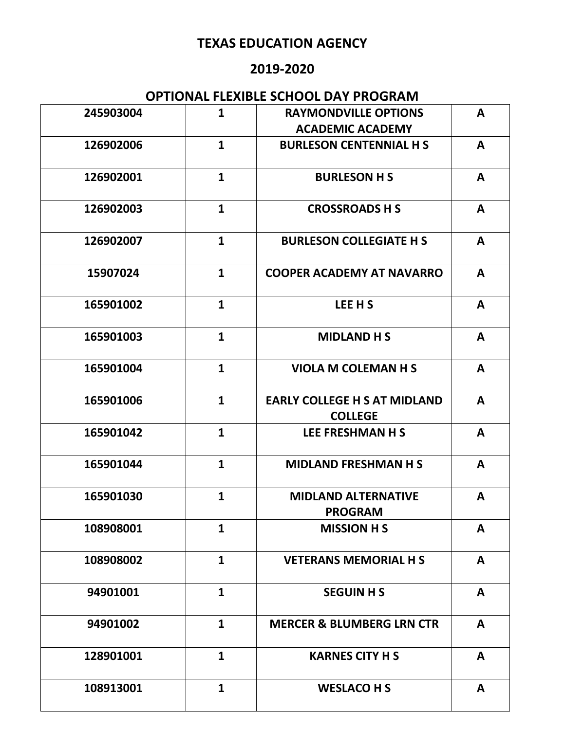### **2019-2020**

| 245903004 | $\mathbf{1}$ | <b>RAYMONDVILLE OPTIONS</b><br><b>ACADEMIC ACADEMY</b> | A            |
|-----------|--------------|--------------------------------------------------------|--------------|
| 126902006 | $\mathbf{1}$ | <b>BURLESON CENTENNIAL H S</b>                         | A            |
| 126902001 | $\mathbf{1}$ | <b>BURLESON H S</b>                                    | A            |
| 126902003 | $\mathbf{1}$ | <b>CROSSROADS H S</b>                                  | A            |
| 126902007 | $\mathbf{1}$ | <b>BURLESON COLLEGIATE H S</b>                         | A            |
| 15907024  | $\mathbf{1}$ | <b>COOPER ACADEMY AT NAVARRO</b>                       | A            |
| 165901002 | $\mathbf{1}$ | LEE H S                                                | A            |
| 165901003 | $\mathbf{1}$ | <b>MIDLAND H S</b>                                     | A            |
| 165901004 | $\mathbf{1}$ | <b>VIOLA M COLEMAN H S</b>                             | A            |
| 165901006 | $\mathbf{1}$ | <b>EARLY COLLEGE H S AT MIDLAND</b><br><b>COLLEGE</b>  | A            |
| 165901042 | $\mathbf{1}$ | <b>LEE FRESHMAN H S</b>                                | A            |
| 165901044 | $\mathbf{1}$ | <b>MIDLAND FRESHMAN H S</b>                            | A            |
| 165901030 | $\mathbf{1}$ | <b>MIDLAND ALTERNATIVE</b><br><b>PROGRAM</b>           | A            |
| 108908001 | $\mathbf{1}$ | <b>MISSION H S</b>                                     | $\mathbf{A}$ |
| 108908002 | $\mathbf{1}$ | <b>VETERANS MEMORIAL H S</b>                           | A            |
| 94901001  | $\mathbf{1}$ | <b>SEGUIN H S</b>                                      | A            |
| 94901002  | $\mathbf{1}$ | <b>MERCER &amp; BLUMBERG LRN CTR</b>                   | A            |
| 128901001 | $\mathbf{1}$ | <b>KARNES CITY H S</b>                                 | A            |
| 108913001 | $\mathbf{1}$ | <b>WESLACO H S</b>                                     | $\mathsf{A}$ |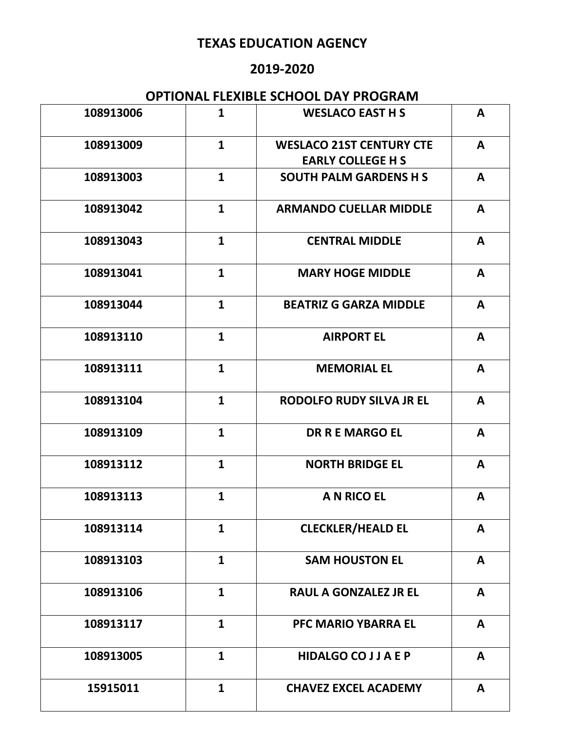### **2019-2020**

| 108913006 | $\mathbf{1}$ | <b>WESLACO EAST H S</b>                                     | A            |
|-----------|--------------|-------------------------------------------------------------|--------------|
| 108913009 | $\mathbf{1}$ | <b>WESLACO 21ST CENTURY CTE</b><br><b>EARLY COLLEGE H S</b> | A            |
| 108913003 | $\mathbf{1}$ | <b>SOUTH PALM GARDENS H S</b>                               | A            |
| 108913042 | $\mathbf{1}$ | <b>ARMANDO CUELLAR MIDDLE</b>                               | A            |
| 108913043 | $\mathbf{1}$ | <b>CENTRAL MIDDLE</b>                                       | A            |
| 108913041 | $\mathbf{1}$ | <b>MARY HOGE MIDDLE</b>                                     | A            |
| 108913044 | $\mathbf{1}$ | <b>BEATRIZ G GARZA MIDDLE</b>                               | A            |
| 108913110 | $\mathbf{1}$ | <b>AIRPORT EL</b>                                           | A            |
| 108913111 | $\mathbf{1}$ | <b>MEMORIAL EL</b>                                          | A            |
| 108913104 | $\mathbf{1}$ | <b>RODOLFO RUDY SILVA JR EL</b>                             | A            |
| 108913109 | $\mathbf{1}$ | <b>DR R E MARGO EL</b>                                      | A            |
| 108913112 | $\mathbf{1}$ | <b>NORTH BRIDGE EL</b>                                      | A            |
| 108913113 | $\mathbf{1}$ | <b>A N RICO EL</b>                                          | A            |
| 108913114 | $\mathbf{1}$ | <b>CLECKLER/HEALD EL</b>                                    | A            |
| 108913103 | $\mathbf{1}$ | <b>SAM HOUSTON EL</b>                                       | $\mathbf{A}$ |
| 108913106 | $\mathbf{1}$ | <b>RAUL A GONZALEZ JR EL</b>                                | A            |
| 108913117 | $\mathbf{1}$ | <b>PFC MARIO YBARRA EL</b>                                  | A            |
| 108913005 | $\mathbf{1}$ | <b>HIDALGO CO J J A E P</b>                                 | A            |
| 15915011  | $\mathbf{1}$ | <b>CHAVEZ EXCEL ACADEMY</b>                                 | A            |
|           |              |                                                             |              |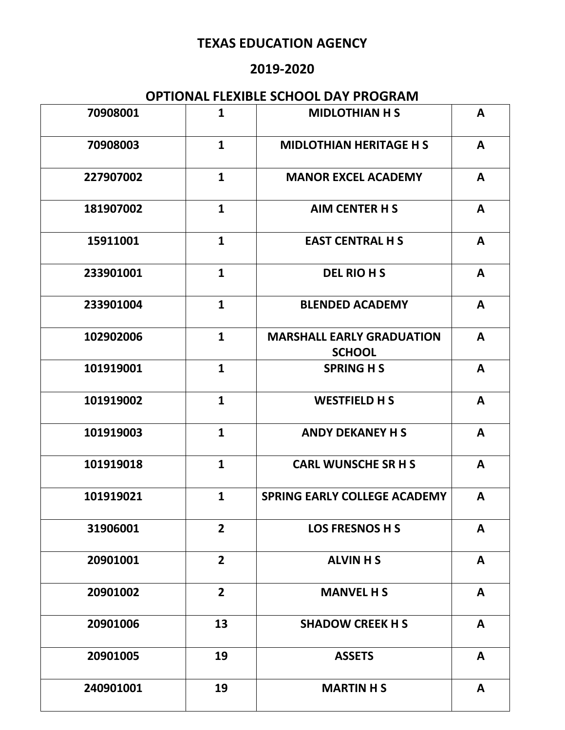### **2019-2020**

| 70908001  | $\mathbf{1}$   | <b>MIDLOTHIAN H S</b>                             | A            |
|-----------|----------------|---------------------------------------------------|--------------|
| 70908003  | $\mathbf{1}$   | <b>MIDLOTHIAN HERITAGE H S</b>                    | A            |
| 227907002 | $\mathbf{1}$   | <b>MANOR EXCEL ACADEMY</b>                        | A            |
| 181907002 | $\mathbf{1}$   | <b>AIM CENTER H S</b>                             | A            |
| 15911001  | $\mathbf{1}$   | <b>EAST CENTRAL H S</b>                           | A            |
| 233901001 | $\mathbf{1}$   | <b>DEL RIO H S</b>                                | A            |
| 233901004 | $\mathbf{1}$   | <b>BLENDED ACADEMY</b>                            | A            |
| 102902006 | $\mathbf{1}$   | <b>MARSHALL EARLY GRADUATION</b><br><b>SCHOOL</b> | A            |
| 101919001 | $\mathbf{1}$   | <b>SPRING H S</b>                                 | A            |
| 101919002 | $\mathbf{1}$   | <b>WESTFIELD H S</b>                              | $\mathbf{A}$ |
| 101919003 | $\mathbf{1}$   | <b>ANDY DEKANEY H S</b>                           | A            |
| 101919018 | $\mathbf{1}$   | <b>CARL WUNSCHE SR H S</b>                        | A            |
| 101919021 | $\mathbf{1}$   | <b>SPRING EARLY COLLEGE ACADEMY</b>               | A            |
| 31906001  | $\overline{2}$ | <b>LOS FRESNOS H S</b>                            | A            |
| 20901001  | $\overline{2}$ | <b>ALVIN H S</b>                                  | A            |
| 20901002  | $\overline{2}$ | <b>MANVEL H S</b>                                 | A            |
| 20901006  | 13             | <b>SHADOW CREEK H S</b>                           | A            |
| 20901005  | 19             | <b>ASSETS</b>                                     | A            |
| 240901001 | 19             | <b>MARTIN H S</b>                                 | $\mathbf{A}$ |
|           |                |                                                   |              |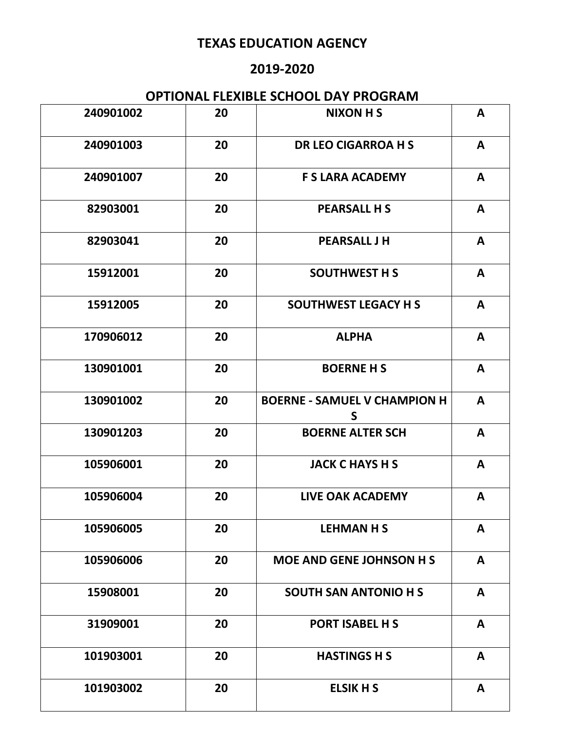### **2019-2020**

| 240901002 | 20 | <b>NIXON H S</b>                         | A            |
|-----------|----|------------------------------------------|--------------|
| 240901003 | 20 | <b>DR LEO CIGARROA H S</b>               | A            |
| 240901007 | 20 | <b>F S LARA ACADEMY</b>                  | A            |
| 82903001  | 20 | <b>PEARSALL H S</b>                      | A            |
| 82903041  | 20 | <b>PEARSALL J H</b>                      | $\mathbf{A}$ |
| 15912001  | 20 | <b>SOUTHWEST H S</b>                     | $\mathbf{A}$ |
| 15912005  | 20 | <b>SOUTHWEST LEGACY H S</b>              | A            |
| 170906012 | 20 | <b>ALPHA</b>                             | A            |
| 130901001 | 20 | <b>BOERNE H S</b>                        | A            |
| 130901002 | 20 | <b>BOERNE - SAMUEL V CHAMPION H</b><br>S | A            |
| 130901203 | 20 | <b>BOERNE ALTER SCH</b>                  | A            |
| 105906001 | 20 | <b>JACK C HAYS H S</b>                   | A            |
| 105906004 | 20 | <b>LIVE OAK ACADEMY</b>                  | A            |
| 105906005 | 20 | <b>LEHMAN H S</b>                        | A            |
| 105906006 | 20 | <b>MOE AND GENE JOHNSON H S</b>          | $\mathbf{A}$ |
| 15908001  | 20 | <b>SOUTH SAN ANTONIO H S</b>             | $\mathbf{A}$ |
| 31909001  | 20 | PORT ISABEL H S                          | A            |
| 101903001 | 20 | <b>HASTINGS H S</b>                      | A            |
| 101903002 | 20 | <b>ELSIK H S</b>                         | $\mathsf{A}$ |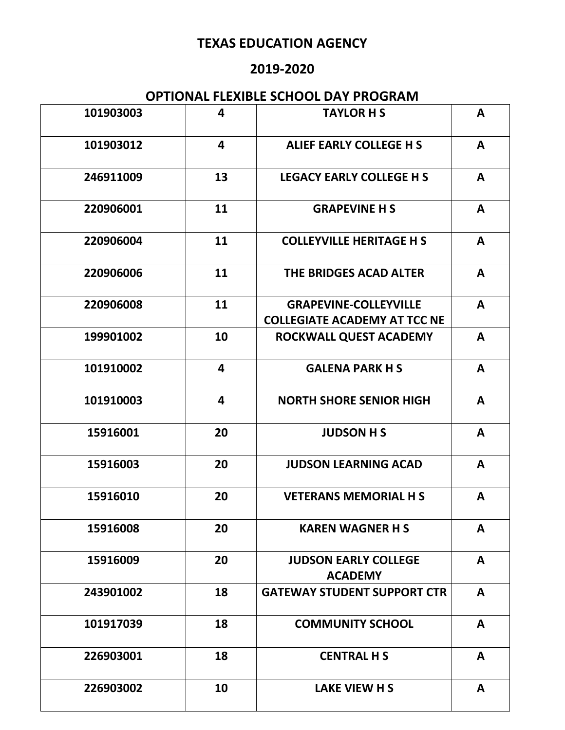### **2019-2020**

| 101903003 | 4  | <b>TAYLOR H S</b>                                                   | A            |
|-----------|----|---------------------------------------------------------------------|--------------|
| 101903012 | 4  | <b>ALIEF EARLY COLLEGE H S</b>                                      | A            |
| 246911009 | 13 | <b>LEGACY EARLY COLLEGE H S</b>                                     | A            |
| 220906001 | 11 | <b>GRAPEVINE H S</b>                                                | A            |
| 220906004 | 11 | <b>COLLEYVILLE HERITAGE H S</b>                                     | $\mathbf{A}$ |
| 220906006 | 11 | <b>THE BRIDGES ACAD ALTER</b>                                       | $\mathbf{A}$ |
| 220906008 | 11 | <b>GRAPEVINE-COLLEYVILLE</b><br><b>COLLEGIATE ACADEMY AT TCC NE</b> | A            |
| 199901002 | 10 | ROCKWALL QUEST ACADEMY                                              | A            |
| 101910002 | 4  | <b>GALENA PARK H S</b>                                              | A            |
| 101910003 | 4  | <b>NORTH SHORE SENIOR HIGH</b>                                      | A            |
| 15916001  | 20 | <b>JUDSON H S</b>                                                   | A            |
| 15916003  | 20 | <b>JUDSON LEARNING ACAD</b>                                         | A            |
| 15916010  | 20 | <b>VETERANS MEMORIAL H S</b>                                        | A            |
| 15916008  | 20 | <b>KAREN WAGNER H S</b>                                             | A            |
| 15916009  | 20 | <b>JUDSON EARLY COLLEGE</b><br><b>ACADEMY</b>                       | A            |
| 243901002 | 18 | <b>GATEWAY STUDENT SUPPORT CTR</b>                                  | $\mathbf{A}$ |
| 101917039 | 18 | <b>COMMUNITY SCHOOL</b>                                             | A            |
| 226903001 | 18 | <b>CENTRAL H S</b>                                                  | A            |
| 226903002 | 10 | LAKE VIEW H S                                                       | A            |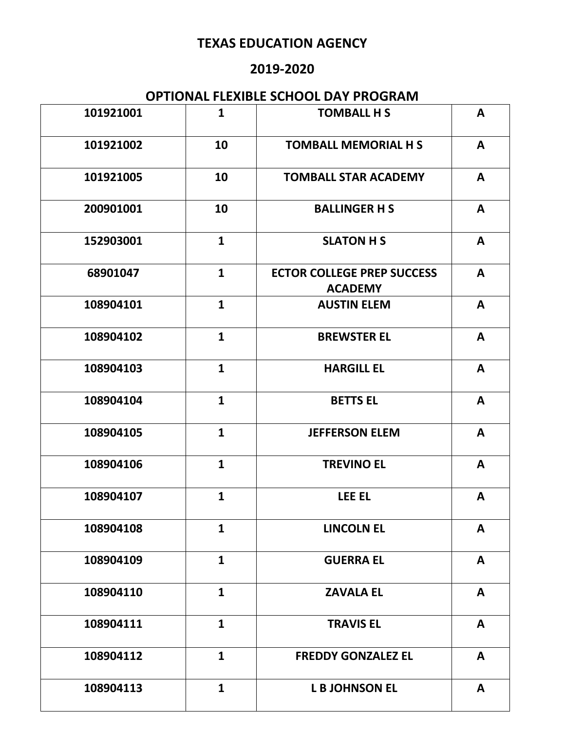### **2019-2020**

| 101921001 | $\mathbf{1}$ | <b>TOMBALL H S</b>                                  | A |
|-----------|--------------|-----------------------------------------------------|---|
| 101921002 | 10           | <b>TOMBALL MEMORIAL H S</b>                         | A |
| 101921005 | 10           | <b>TOMBALL STAR ACADEMY</b>                         | A |
| 200901001 | 10           | <b>BALLINGER H S</b>                                | A |
| 152903001 | $\mathbf{1}$ | <b>SLATON H S</b>                                   | A |
| 68901047  | $\mathbf{1}$ | <b>ECTOR COLLEGE PREP SUCCESS</b><br><b>ACADEMY</b> | A |
| 108904101 | $\mathbf{1}$ | <b>AUSTIN ELEM</b>                                  | A |
| 108904102 | $\mathbf{1}$ | <b>BREWSTER EL</b>                                  | A |
| 108904103 | $\mathbf{1}$ | <b>HARGILL EL</b>                                   | A |
| 108904104 | $\mathbf{1}$ | <b>BETTS EL</b>                                     | A |
| 108904105 | $\mathbf{1}$ | <b>JEFFERSON ELEM</b>                               | A |
| 108904106 | $\mathbf{1}$ | <b>TREVINO EL</b>                                   | A |
| 108904107 | $\mathbf{1}$ | LEE EL                                              | A |
| 108904108 | $\mathbf{1}$ | <b>LINCOLN EL</b>                                   | A |
| 108904109 | $\mathbf{1}$ | <b>GUERRA EL</b>                                    | A |
| 108904110 | $\mathbf{1}$ | <b>ZAVALA EL</b>                                    | A |
| 108904111 | $\mathbf{1}$ | <b>TRAVIS EL</b>                                    | A |
| 108904112 | $\mathbf{1}$ | <b>FREDDY GONZALEZ EL</b>                           | A |
| 108904113 | $\mathbf{1}$ | <b>L B JOHNSON EL</b>                               | A |
|           |              |                                                     |   |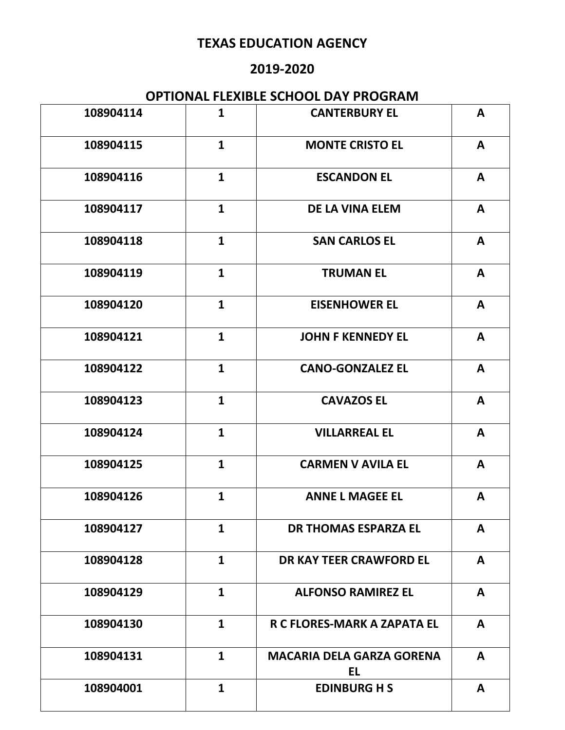### **2019-2020**

| 108904114 | $\mathbf{1}$ | <b>CANTERBURY EL</b>                          | A            |
|-----------|--------------|-----------------------------------------------|--------------|
| 108904115 | $\mathbf{1}$ | <b>MONTE CRISTO EL</b>                        | A            |
| 108904116 | $\mathbf{1}$ | <b>ESCANDON EL</b>                            | A            |
| 108904117 | $\mathbf{1}$ | <b>DE LA VINA ELEM</b>                        | A            |
| 108904118 | $\mathbf{1}$ | <b>SAN CARLOS EL</b>                          | $\mathbf{A}$ |
| 108904119 | $\mathbf{1}$ | <b>TRUMAN EL</b>                              | $\mathbf{A}$ |
| 108904120 | $\mathbf{1}$ | <b>EISENHOWER EL</b>                          | A            |
| 108904121 | $\mathbf{1}$ | <b>JOHN F KENNEDY EL</b>                      | A            |
| 108904122 | $\mathbf{1}$ | <b>CANO-GONZALEZ EL</b>                       | A            |
| 108904123 | $\mathbf{1}$ | <b>CAVAZOS EL</b>                             | A            |
| 108904124 | $\mathbf{1}$ | <b>VILLARREAL EL</b>                          | A            |
| 108904125 | $\mathbf{1}$ | <b>CARMEN V AVILA EL</b>                      | A            |
| 108904126 | $\mathbf{1}$ | <b>ANNE L MAGEE EL</b>                        | A            |
| 108904127 | $\mathbf{1}$ | <b>DR THOMAS ESPARZA EL</b>                   | $\mathbf{A}$ |
| 108904128 | $\mathbf{1}$ | <b>DR KAY TEER CRAWFORD EL</b>                | A            |
| 108904129 | $\mathbf{1}$ | <b>ALFONSO RAMIREZ EL</b>                     | A            |
| 108904130 | $\mathbf{1}$ | R C FLORES-MARK A ZAPATA EL                   | A            |
| 108904131 | $\mathbf{1}$ | <b>MACARIA DELA GARZA GORENA</b><br><b>EL</b> | A            |
| 108904001 | $\mathbf{1}$ | <b>EDINBURG H S</b>                           | $\mathbf{A}$ |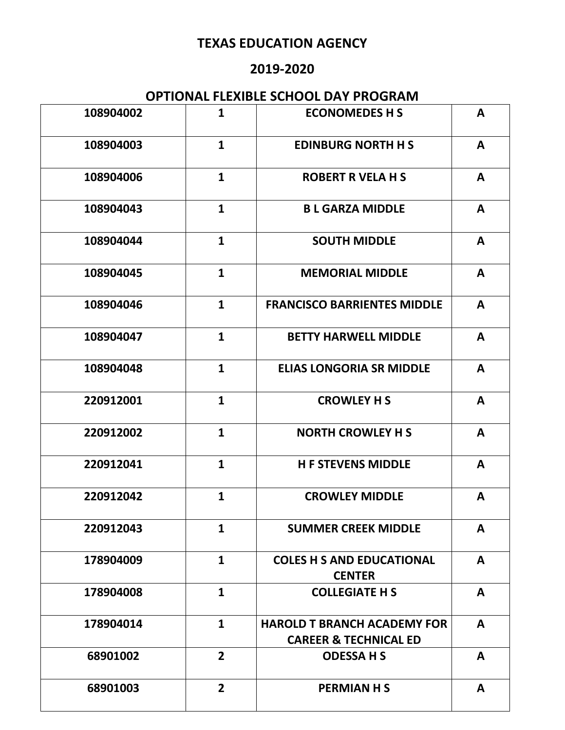### **2019-2020**

| 108904002 | $\mathbf{1}$   | <b>ECONOMEDES H S</b>                                                  | A            |
|-----------|----------------|------------------------------------------------------------------------|--------------|
| 108904003 | $\mathbf{1}$   | <b>EDINBURG NORTH H S</b>                                              | A            |
| 108904006 | $\mathbf{1}$   | <b>ROBERT R VELA H S</b>                                               | A            |
| 108904043 | $\mathbf{1}$   | <b>BL GARZA MIDDLE</b>                                                 | A            |
| 108904044 | $\mathbf{1}$   | <b>SOUTH MIDDLE</b>                                                    | A            |
| 108904045 | $\mathbf{1}$   | <b>MEMORIAL MIDDLE</b>                                                 | A            |
| 108904046 | $\mathbf{1}$   | <b>FRANCISCO BARRIENTES MIDDLE</b>                                     | A            |
| 108904047 | $\mathbf{1}$   | <b>BETTY HARWELL MIDDLE</b>                                            | A            |
| 108904048 | $\mathbf{1}$   | <b>ELIAS LONGORIA SR MIDDLE</b>                                        | A            |
| 220912001 | $\mathbf{1}$   | <b>CROWLEY H S</b>                                                     | A            |
| 220912002 | $\mathbf{1}$   | <b>NORTH CROWLEY H S</b>                                               | A            |
| 220912041 | $\mathbf{1}$   | <b>H F STEVENS MIDDLE</b>                                              | A            |
| 220912042 | $\mathbf{1}$   | <b>CROWLEY MIDDLE</b>                                                  | A            |
| 220912043 | $\mathbf{1}$   | <b>SUMMER CREEK MIDDLE</b>                                             | A            |
| 178904009 | $\mathbf{1}$   | <b>COLES H S AND EDUCATIONAL</b><br><b>CENTER</b>                      | $\mathbf{A}$ |
| 178904008 | $\mathbf{1}$   | <b>COLLEGIATE H S</b>                                                  | $\mathbf{A}$ |
| 178904014 | $\mathbf{1}$   | <b>HAROLD T BRANCH ACADEMY FOR</b><br><b>CAREER &amp; TECHNICAL ED</b> | A            |
| 68901002  | 2 <sup>1</sup> | <b>ODESSAHS</b>                                                        | A            |
| 68901003  | $\overline{2}$ | <b>PERMIAN H S</b>                                                     | A            |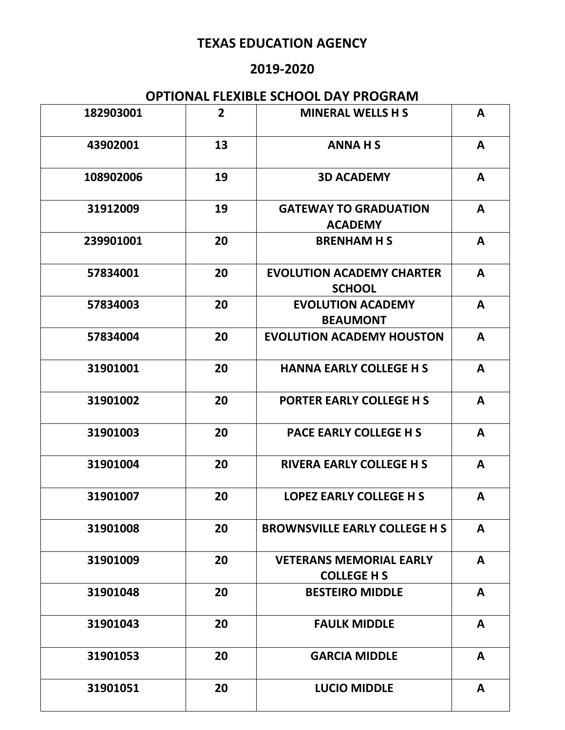### **2019-2020**

| 182903001 | $\overline{2}$ | <b>MINERAL WELLS H S</b>                             | A            |
|-----------|----------------|------------------------------------------------------|--------------|
| 43902001  | 13             | <b>ANNAHS</b>                                        | A            |
| 108902006 | 19             | <b>3D ACADEMY</b>                                    | A            |
| 31912009  | 19             | <b>GATEWAY TO GRADUATION</b><br><b>ACADEMY</b>       | A            |
| 239901001 | 20             | <b>BRENHAM H S</b>                                   | A            |
| 57834001  | 20             | <b>EVOLUTION ACADEMY CHARTER</b><br><b>SCHOOL</b>    | $\mathbf{A}$ |
| 57834003  | 20             | <b>EVOLUTION ACADEMY</b><br><b>BEAUMONT</b>          | A            |
| 57834004  | 20             | <b>EVOLUTION ACADEMY HOUSTON</b>                     | A            |
| 31901001  | 20             | <b>HANNA EARLY COLLEGE H S</b>                       | A            |
| 31901002  | 20             | <b>PORTER EARLY COLLEGE H S</b>                      | A            |
| 31901003  | 20             | <b>PACE EARLY COLLEGE H S</b>                        | A            |
| 31901004  | 20             | <b>RIVERA EARLY COLLEGE H S</b>                      | A            |
| 31901007  | 20             | <b>LOPEZ EARLY COLLEGE H S</b>                       | A            |
| 31901008  | 20             | <b>BROWNSVILLE EARLY COLLEGE H S</b>                 | A            |
| 31901009  | 20             | <b>VETERANS MEMORIAL EARLY</b><br><b>COLLEGE H S</b> | $\mathbf{A}$ |
| 31901048  | 20             | <b>BESTEIRO MIDDLE</b>                               | A            |
| 31901043  | 20             | <b>FAULK MIDDLE</b>                                  | A            |
| 31901053  | 20             | <b>GARCIA MIDDLE</b>                                 | A            |
| 31901051  | 20             | <b>LUCIO MIDDLE</b>                                  | $\mathsf{A}$ |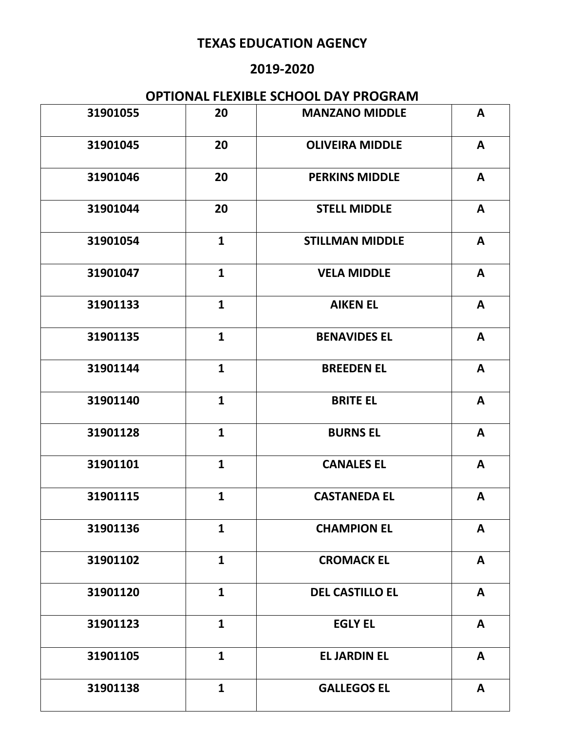### **2019-2020**

| 31901055 | 20           | <b>MANZANO MIDDLE</b>  | $\mathbf{A}$ |
|----------|--------------|------------------------|--------------|
| 31901045 | 20           | <b>OLIVEIRA MIDDLE</b> | A            |
| 31901046 | 20           | <b>PERKINS MIDDLE</b>  | A            |
| 31901044 | 20           | <b>STELL MIDDLE</b>    | A            |
| 31901054 | $\mathbf{1}$ | <b>STILLMAN MIDDLE</b> | $\mathsf{A}$ |
| 31901047 | $\mathbf{1}$ | <b>VELA MIDDLE</b>     | $\mathsf{A}$ |
| 31901133 | $\mathbf{1}$ | <b>AIKEN EL</b>        | $\mathsf{A}$ |
| 31901135 | $\mathbf{1}$ | <b>BENAVIDES EL</b>    | $\mathsf{A}$ |
| 31901144 | $\mathbf{1}$ | <b>BREEDEN EL</b>      | $\mathsf{A}$ |
| 31901140 | $\mathbf{1}$ | <b>BRITE EL</b>        | $\mathbf{A}$ |
| 31901128 | $\mathbf{1}$ | <b>BURNS EL</b>        | A            |
| 31901101 | $\mathbf{1}$ | <b>CANALES EL</b>      | A            |
| 31901115 | $\mathbf{1}$ | <b>CASTANEDA EL</b>    | A            |
| 31901136 | $\mathbf{1}$ | <b>CHAMPION EL</b>     | A            |
| 31901102 | $\mathbf{1}$ | <b>CROMACK EL</b>      | A            |
| 31901120 | $\mathbf{1}$ | <b>DEL CASTILLO EL</b> | A            |
| 31901123 | $\mathbf{1}$ | <b>EGLY EL</b>         | A            |
| 31901105 | $\mathbf{1}$ | <b>EL JARDIN EL</b>    | A            |
| 31901138 | $\mathbf{1}$ | <b>GALLEGOS EL</b>     | $\mathbf{A}$ |
|          |              |                        |              |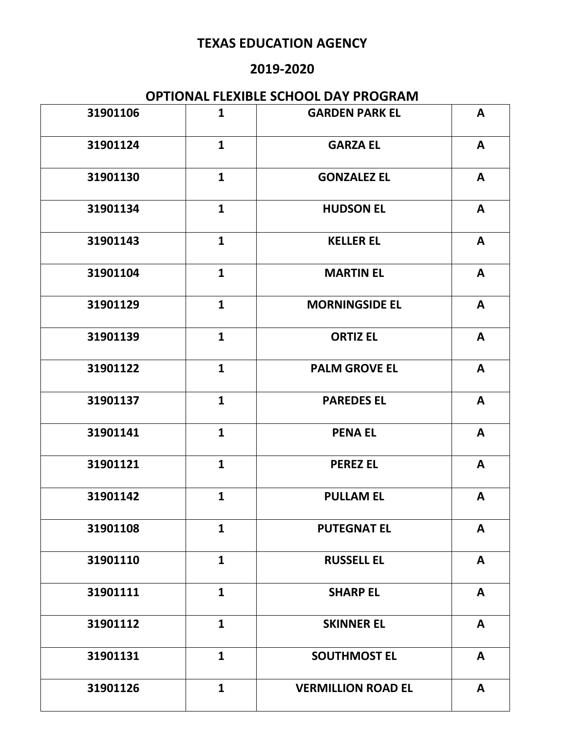### **2019-2020**

| 31901106 | $\mathbf{1}$ | <b>GARDEN PARK EL</b>     | $\mathsf{A}$ |
|----------|--------------|---------------------------|--------------|
| 31901124 | $\mathbf{1}$ | <b>GARZA EL</b>           | A            |
| 31901130 | $\mathbf{1}$ | <b>GONZALEZ EL</b>        | A            |
| 31901134 | $\mathbf{1}$ | <b>HUDSON EL</b>          | A            |
| 31901143 | $\mathbf{1}$ | <b>KELLER EL</b>          | A            |
| 31901104 | $\mathbf{1}$ | <b>MARTIN EL</b>          | A            |
| 31901129 | $\mathbf{1}$ | <b>MORNINGSIDE EL</b>     | A            |
| 31901139 | $\mathbf{1}$ | <b>ORTIZ EL</b>           | $\mathbf{A}$ |
| 31901122 | $\mathbf{1}$ | <b>PALM GROVE EL</b>      | $\mathbf{A}$ |
| 31901137 | $\mathbf{1}$ | <b>PAREDES EL</b>         | $\mathbf{A}$ |
| 31901141 | $\mathbf{1}$ | <b>PENA EL</b>            | A            |
| 31901121 | $\mathbf{1}$ | <b>PEREZ EL</b>           | $\mathsf{A}$ |
| 31901142 | $\mathbf{1}$ | <b>PULLAM EL</b>          | A            |
| 31901108 | $\mathbf{1}$ | <b>PUTEGNAT EL</b>        | A            |
| 31901110 | $\mathbf{1}$ | <b>RUSSELL EL</b>         | A            |
| 31901111 | $\mathbf{1}$ | <b>SHARP EL</b>           | A            |
| 31901112 | $\mathbf{1}$ | <b>SKINNER EL</b>         | A            |
| 31901131 | $\mathbf{1}$ | <b>SOUTHMOST EL</b>       | A            |
| 31901126 | $\mathbf{1}$ | <b>VERMILLION ROAD EL</b> | A            |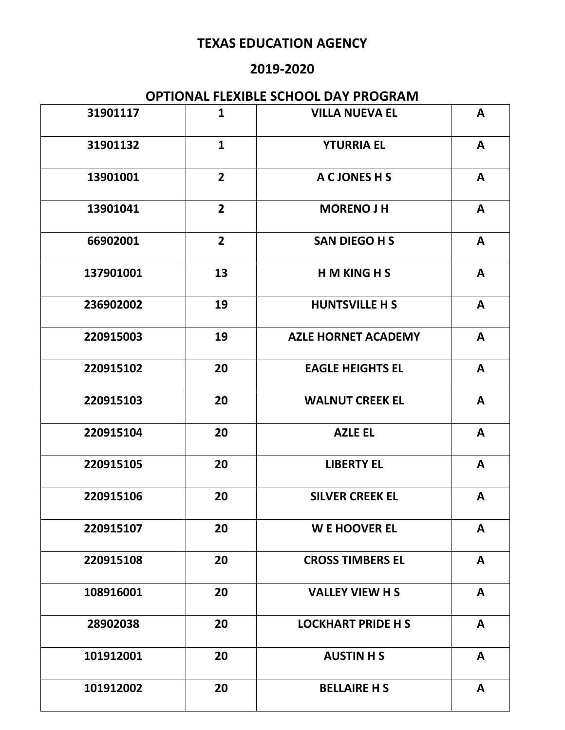### **2019-2020**

| 31901117  | $\mathbf{1}$   | <b>VILLA NUEVA EL</b>      | $\mathbf{A}$ |
|-----------|----------------|----------------------------|--------------|
| 31901132  | $\mathbf{1}$   | <b>YTURRIA EL</b>          | A            |
| 13901001  | $\overline{2}$ | A C JONES H S              | A            |
| 13901041  | $\overline{2}$ | <b>MORENO J H</b>          | A            |
| 66902001  | $\overline{2}$ | <b>SAN DIEGO H S</b>       | A            |
| 137901001 | 13             | <b>HMKINGHS</b>            | $\mathbf{A}$ |
| 236902002 | 19             | <b>HUNTSVILLE H S</b>      | A            |
| 220915003 | 19             | <b>AZLE HORNET ACADEMY</b> | A            |
| 220915102 | 20             | <b>EAGLE HEIGHTS EL</b>    | $\mathsf{A}$ |
| 220915103 | 20             | <b>WALNUT CREEK EL</b>     | $\mathbf{A}$ |
| 220915104 | 20             | <b>AZLE EL</b>             | $\mathbf{A}$ |
| 220915105 | 20             | <b>LIBERTY EL</b>          | A            |
| 220915106 | 20             | <b>SILVER CREEK EL</b>     | A            |
| 220915107 | 20             | <b>WE HOOVER EL</b>        | A            |
| 220915108 | 20             | <b>CROSS TIMBERS EL</b>    | A            |
| 108916001 | 20             | <b>VALLEY VIEW H S</b>     | A            |
| 28902038  | 20             | <b>LOCKHART PRIDE H S</b>  | $\mathbf{A}$ |
| 101912001 | 20             | <b>AUSTIN H S</b>          | A            |
| 101912002 | 20             | <b>BELLAIRE H S</b>        | $\mathbf{A}$ |
|           |                |                            |              |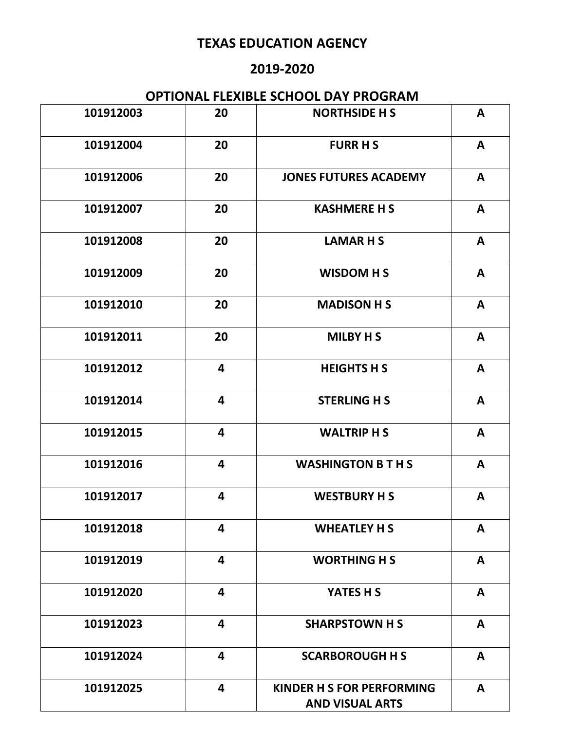### **2019-2020**

| 101912003 | 20                      | <b>NORTHSIDE H S</b>                                | $\mathbf{A}$ |
|-----------|-------------------------|-----------------------------------------------------|--------------|
| 101912004 | 20                      | <b>FURR H S</b>                                     | A            |
| 101912006 | 20                      | <b>JONES FUTURES ACADEMY</b>                        | A            |
| 101912007 | 20                      | <b>KASHMERE H S</b>                                 | A            |
| 101912008 | 20                      | <b>LAMARHS</b>                                      | A            |
| 101912009 | 20                      | <b>WISDOM H S</b>                                   | A            |
| 101912010 | 20                      | <b>MADISON H S</b>                                  | A            |
| 101912011 | 20                      | <b>MILBY H S</b>                                    | $\mathsf{A}$ |
| 101912012 | $\overline{\mathbf{4}}$ | <b>HEIGHTS H S</b>                                  | A            |
| 101912014 | 4                       | <b>STERLING H S</b>                                 | $\mathbf{A}$ |
| 101912015 | 4                       | <b>WALTRIP H S</b>                                  | A            |
| 101912016 | 4                       | <b>WASHINGTON B T H S</b>                           | A            |
| 101912017 | 4                       | <b>WESTBURY H S</b>                                 | A            |
| 101912018 | 4                       | <b>WHEATLEY H S</b>                                 | A            |
| 101912019 | $\overline{\mathbf{4}}$ | <b>WORTHING H S</b>                                 | A            |
| 101912020 | 4                       | YATES H S                                           | A            |
| 101912023 | $\overline{\mathbf{4}}$ | <b>SHARPSTOWN H S</b>                               | A            |
| 101912024 | $\overline{\mathbf{4}}$ | <b>SCARBOROUGH H S</b>                              | A            |
| 101912025 | 4                       | KINDER H S FOR PERFORMING<br><b>AND VISUAL ARTS</b> | $\mathbf{A}$ |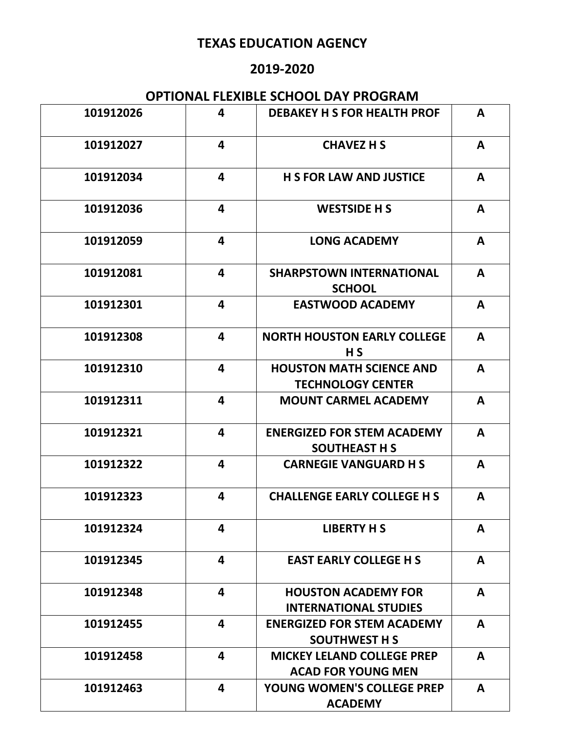### **2019-2020**

| 101912026 | 4                       | <b>DEBAKEY H S FOR HEALTH PROF</b>                             | A            |
|-----------|-------------------------|----------------------------------------------------------------|--------------|
| 101912027 | 4                       | <b>CHAVEZ H S</b>                                              | A            |
| 101912034 | 4                       | <b>H S FOR LAW AND JUSTICE</b>                                 | A            |
| 101912036 | 4                       | <b>WESTSIDE H S</b>                                            | A            |
| 101912059 | 4                       | <b>LONG ACADEMY</b>                                            | A            |
| 101912081 | 4                       | <b>SHARPSTOWN INTERNATIONAL</b><br><b>SCHOOL</b>               | A            |
| 101912301 | 4                       | <b>EASTWOOD ACADEMY</b>                                        | A            |
| 101912308 | 4                       | <b>NORTH HOUSTON EARLY COLLEGE</b><br>H S                      | A            |
| 101912310 | 4                       | <b>HOUSTON MATH SCIENCE AND</b><br><b>TECHNOLOGY CENTER</b>    | A            |
| 101912311 | 4                       | <b>MOUNT CARMEL ACADEMY</b>                                    | A            |
| 101912321 | 4                       | <b>ENERGIZED FOR STEM ACADEMY</b><br><b>SOUTHEAST H S</b>      | A            |
| 101912322 | 4                       | <b>CARNEGIE VANGUARD H S</b>                                   | A            |
| 101912323 | 4                       | <b>CHALLENGE EARLY COLLEGE H S</b>                             | A            |
| 101912324 | 4                       | <b>LIBERTY H S</b>                                             | A            |
| 101912345 | $\overline{\mathbf{4}}$ | <b>EAST EARLY COLLEGE H S</b>                                  | $\mathbf{A}$ |
| 101912348 | 4                       | <b>HOUSTON ACADEMY FOR</b><br><b>INTERNATIONAL STUDIES</b>     | $\mathbf{A}$ |
| 101912455 | 4                       | <b>ENERGIZED FOR STEM ACADEMY</b><br><b>SOUTHWEST H S</b>      | A            |
| 101912458 | 4                       | <b>MICKEY LELAND COLLEGE PREP</b><br><b>ACAD FOR YOUNG MEN</b> | A            |
| 101912463 | $\overline{\mathbf{4}}$ | YOUNG WOMEN'S COLLEGE PREP<br><b>ACADEMY</b>                   | A            |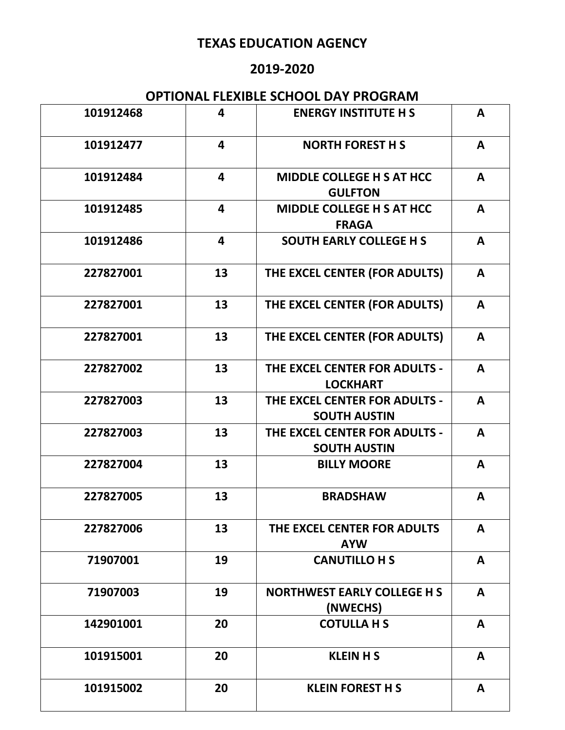### **2019-2020**

| 101912468 | 4                       | <b>ENERGY INSTITUTE H S</b>                          | A            |
|-----------|-------------------------|------------------------------------------------------|--------------|
| 101912477 | 4                       | <b>NORTH FOREST H S</b>                              | A            |
| 101912484 | 4                       | <b>MIDDLE COLLEGE H S AT HCC</b><br><b>GULFTON</b>   | A            |
| 101912485 | $\overline{\mathbf{4}}$ | <b>MIDDLE COLLEGE H S AT HCC</b><br><b>FRAGA</b>     | A            |
| 101912486 | $\overline{\mathbf{4}}$ | <b>SOUTH EARLY COLLEGE H S</b>                       | A            |
| 227827001 | 13                      | THE EXCEL CENTER (FOR ADULTS)                        | $\mathbf{A}$ |
| 227827001 | 13                      | THE EXCEL CENTER (FOR ADULTS)                        | $\mathbf{A}$ |
| 227827001 | 13                      | THE EXCEL CENTER (FOR ADULTS)                        | $\mathbf{A}$ |
| 227827002 | 13                      | THE EXCEL CENTER FOR ADULTS -<br><b>LOCKHART</b>     | $\mathbf{A}$ |
| 227827003 | 13                      | THE EXCEL CENTER FOR ADULTS -<br><b>SOUTH AUSTIN</b> | $\mathbf{A}$ |
| 227827003 | 13                      | THE EXCEL CENTER FOR ADULTS -<br><b>SOUTH AUSTIN</b> | A            |
| 227827004 | 13                      | <b>BILLY MOORE</b>                                   | A            |
| 227827005 | 13                      | <b>BRADSHAW</b>                                      | A            |
| 227827006 | 13                      | THE EXCEL CENTER FOR ADULTS<br><b>AYW</b>            | A            |
| 71907001  | 19                      | <b>CANUTILLO H S</b>                                 | A            |
| 71907003  | 19                      | <b>NORTHWEST EARLY COLLEGE H S</b><br>(NWECHS)       | A            |
| 142901001 | 20                      | <b>COTULLA H S</b>                                   | A            |
| 101915001 | 20                      | <b>KLEIN H S</b>                                     | A            |
| 101915002 | 20                      | <b>KLEIN FOREST H S</b>                              | $\mathbf{A}$ |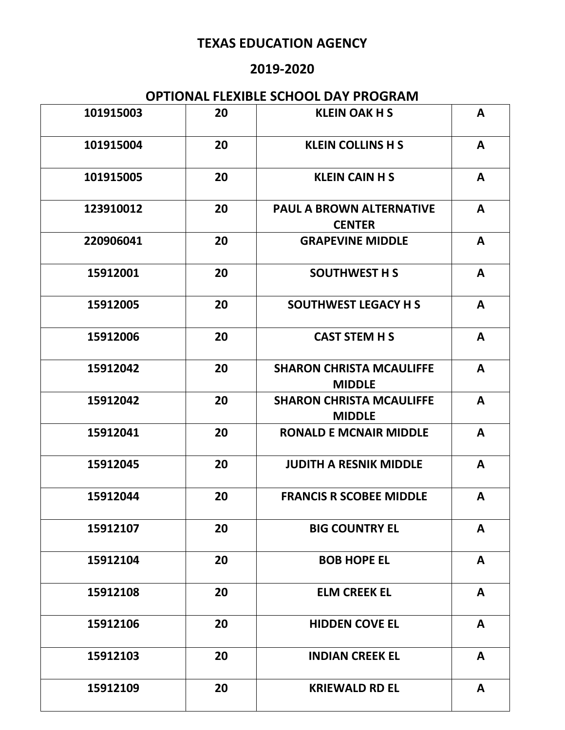### **2019-2020**

| 101915003 | 20 | <b>KLEIN OAK H S</b>                             | A            |
|-----------|----|--------------------------------------------------|--------------|
| 101915004 | 20 | <b>KLEIN COLLINS H S</b>                         | A            |
| 101915005 | 20 | <b>KLEIN CAIN H S</b>                            | A            |
| 123910012 | 20 | <b>PAUL A BROWN ALTERNATIVE</b><br><b>CENTER</b> | A            |
| 220906041 | 20 | <b>GRAPEVINE MIDDLE</b>                          | A            |
| 15912001  | 20 | <b>SOUTHWEST H S</b>                             | A            |
| 15912005  | 20 | <b>SOUTHWEST LEGACY H S</b>                      | A            |
| 15912006  | 20 | <b>CAST STEM H S</b>                             | A            |
| 15912042  | 20 | <b>SHARON CHRISTA MCAULIFFE</b><br><b>MIDDLE</b> | A            |
| 15912042  | 20 | <b>SHARON CHRISTA MCAULIFFE</b><br><b>MIDDLE</b> | A            |
| 15912041  | 20 | <b>RONALD E MCNAIR MIDDLE</b>                    | A            |
| 15912045  | 20 | <b>JUDITH A RESNIK MIDDLE</b>                    | A            |
| 15912044  | 20 | <b>FRANCIS R SCOBEE MIDDLE</b>                   | A            |
| 15912107  | 20 | <b>BIG COUNTRY EL</b>                            | A            |
| 15912104  | 20 | <b>BOB HOPE EL</b>                               | $\mathbf{A}$ |
| 15912108  | 20 | <b>ELM CREEK EL</b>                              | A            |
| 15912106  | 20 | <b>HIDDEN COVE EL</b>                            | A            |
| 15912103  | 20 | <b>INDIAN CREEK EL</b>                           | A            |
| 15912109  | 20 | <b>KRIEWALD RD EL</b>                            | A            |